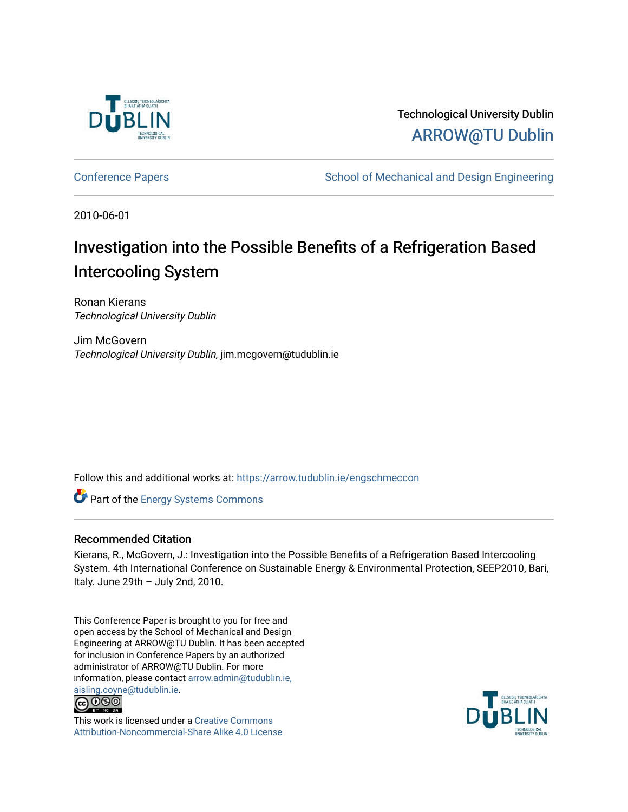

Technological University Dublin [ARROW@TU Dublin](https://arrow.tudublin.ie/) 

[Conference Papers](https://arrow.tudublin.ie/engschmeccon) **School of Mechanical and Design Engineering** School of Mechanical and Design Engineering

2010-06-01

# Investigation into the Possible Benefits of a Refrigeration Based Intercooling System

Ronan Kierans Technological University Dublin

Jim McGovern Technological University Dublin, jim.mcgovern@tudublin.ie

Follow this and additional works at: [https://arrow.tudublin.ie/engschmeccon](https://arrow.tudublin.ie/engschmeccon?utm_source=arrow.tudublin.ie%2Fengschmeccon%2F17&utm_medium=PDF&utm_campaign=PDFCoverPages) 

Part of the [Energy Systems Commons](http://network.bepress.com/hgg/discipline/299?utm_source=arrow.tudublin.ie%2Fengschmeccon%2F17&utm_medium=PDF&utm_campaign=PDFCoverPages) 

### Recommended Citation

Kierans, R., McGovern, J.: Investigation into the Possible Benefits of a Refrigeration Based Intercooling System. 4th International Conference on Sustainable Energy & Environmental Protection, SEEP2010, Bari, Italy. June  $29th - July 2nd, 2010$ .

This Conference Paper is brought to you for free and open access by the School of Mechanical and Design Engineering at ARROW@TU Dublin. It has been accepted for inclusion in Conference Papers by an authorized administrator of ARROW@TU Dublin. For more information, please contact [arrow.admin@tudublin.ie,](mailto:arrow.admin@tudublin.ie,%20aisling.coyne@tudublin.ie)  [aisling.coyne@tudublin.ie.](mailto:arrow.admin@tudublin.ie,%20aisling.coyne@tudublin.ie)<br>© 090



This work is licensed under a [Creative Commons](http://creativecommons.org/licenses/by-nc-sa/4.0/) [Attribution-Noncommercial-Share Alike 4.0 License](http://creativecommons.org/licenses/by-nc-sa/4.0/)

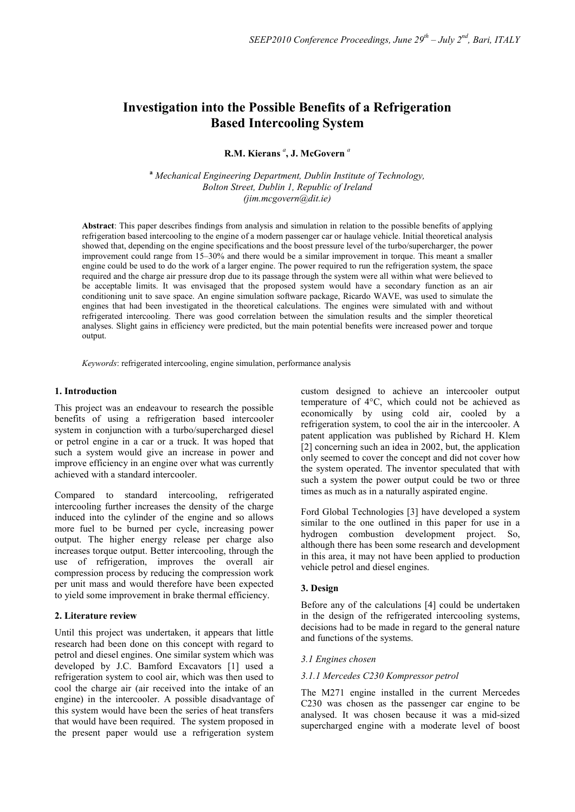## **Investigation into the Possible Benefits of a Refrigeration Based Intercooling System**

#### **R.M. Kierans** *<sup>a</sup>* **, J. McGovern** *<sup>a</sup>*

**<sup>a</sup>** *Mechanical Engineering Department, Dublin Institute of Technology, Bolton Street, Dublin 1, Republic of Ireland (jim.mcgovern@dit.ie)*

**Abstract**: This paper describes findings from analysis and simulation in relation to the possible benefits of applying refrigeration based intercooling to the engine of a modern passenger car or haulage vehicle. Initial theoretical analysis showed that, depending on the engine specifications and the boost pressure level of the turbo/supercharger, the power improvement could range from 15–30% and there would be a similar improvement in torque. This meant a smaller engine could be used to do the work of a larger engine. The power required to run the refrigeration system, the space required and the charge air pressure drop due to its passage through the system were all within what were believed to be acceptable limits. It was envisaged that the proposed system would have a secondary function as an air conditioning unit to save space. An engine simulation software package, Ricardo WAVE, was used to simulate the engines that had been investigated in the theoretical calculations. The engines were simulated with and without refrigerated intercooling. There was good correlation between the simulation results and the simpler theoretical analyses. Slight gains in efficiency were predicted, but the main potential benefits were increased power and torque output.

*Keywords*: refrigerated intercooling, engine simulation, performance analysis

#### **1. Introduction**

This project was an endeavour to research the possible benefits of using a refrigeration based intercooler system in conjunction with a turbo/supercharged diesel or petrol engine in a car or a truck. It was hoped that such a system would give an increase in power and improve efficiency in an engine over what was currently achieved with a standard intercooler.

Compared to standard intercooling, refrigerated intercooling further increases the density of the charge induced into the cylinder of the engine and so allows more fuel to be burned per cycle, increasing power output. The higher energy release per charge also increases torque output. Better intercooling, through the use of refrigeration, improves the overall air compression process by reducing the compression work per unit mass and would therefore have been expected to yield some improvement in brake thermal efficiency.

#### **2. Literature review**

Until this project was undertaken, it appears that little research had been done on this concept with regard to petrol and diesel engines. One similar system which was developed by J.C. Bamford Excavators [1] used a refrigeration system to cool air, which was then used to cool the charge air (air received into the intake of an engine) in the intercooler. A possible disadvantage of this system would have been the series of heat transfers that would have been required. The system proposed in the present paper would use a refrigeration system custom designed to achieve an intercooler output temperature of 4°C, which could not be achieved as economically by using cold air, cooled by a refrigeration system, to cool the air in the intercooler. A patent application was published by Richard H. Klem [2] concerning such an idea in 2002, but, the application only seemed to cover the concept and did not cover how the system operated. The inventor speculated that with such a system the power output could be two or three times as much as in a naturally aspirated engine.

Ford Global Technologies [3] have developed a system similar to the one outlined in this paper for use in a hydrogen combustion development project. So, although there has been some research and development in this area, it may not have been applied to production vehicle petrol and diesel engines.

#### **3. Design**

Before any of the calculations [4] could be undertaken in the design of the refrigerated intercooling systems, decisions had to be made in regard to the general nature and functions of the systems.

#### *3.1 Engines chosen*

#### *3.1.1 Mercedes C230 Kompressor petrol*

The M271 engine installed in the current Mercedes C230 was chosen as the passenger car engine to be analysed. It was chosen because it was a mid-sized supercharged engine with a moderate level of boost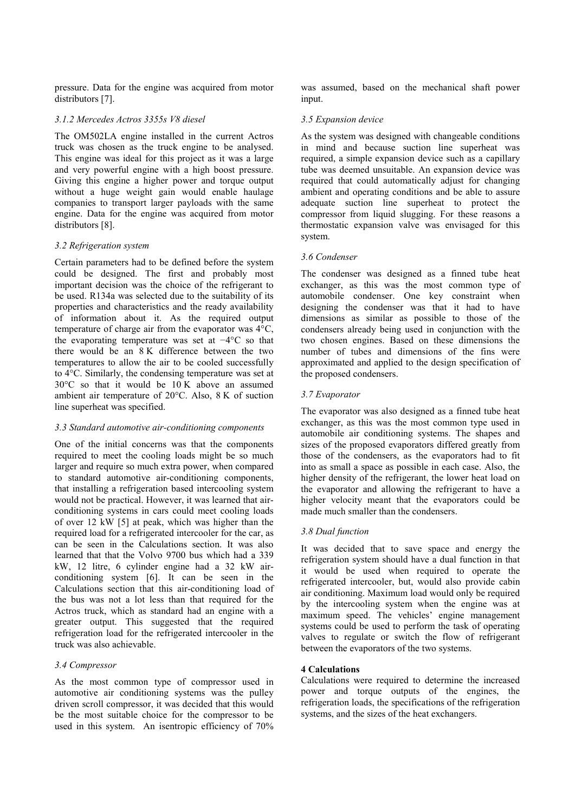pressure. Data for the engine was acquired from motor distributors [7].

#### *3.1.2 Mercedes Actros 3355s V8 diesel*

The OM502LA engine installed in the current Actros truck was chosen as the truck engine to be analysed. This engine was ideal for this project as it was a large and very powerful engine with a high boost pressure. Giving this engine a higher power and torque output without a huge weight gain would enable haulage companies to transport larger payloads with the same engine. Data for the engine was acquired from motor distributors [8].

#### *3.2 Refrigeration system*

Certain parameters had to be defined before the system could be designed. The first and probably most important decision was the choice of the refrigerant to be used. R134a was selected due to the suitability of its properties and characteristics and the ready availability of information about it. As the required output temperature of charge air from the evaporator was 4°C, the evaporating temperature was set at −4°C so that there would be an 8 K difference between the two temperatures to allow the air to be cooled successfully to 4°C. Similarly, the condensing temperature was set at 30°C so that it would be 10 K above an assumed ambient air temperature of 20°C. Also, 8 K of suction line superheat was specified.

#### *3.3 Standard automotive air-conditioning components*

One of the initial concerns was that the components required to meet the cooling loads might be so much larger and require so much extra power, when compared to standard automotive air-conditioning components, that installing a refrigeration based intercooling system would not be practical. However, it was learned that airconditioning systems in cars could meet cooling loads of over 12 kW [5] at peak, which was higher than the required load for a refrigerated intercooler for the car, as can be seen in the Calculations section. It was also learned that that the Volvo 9700 bus which had a 339 kW, 12 litre, 6 cylinder engine had a 32 kW airconditioning system [6]. It can be seen in the Calculations section that this air-conditioning load of the bus was not a lot less than that required for the Actros truck, which as standard had an engine with a greater output. This suggested that the required refrigeration load for the refrigerated intercooler in the truck was also achievable.

#### *3.4 Compressor*

As the most common type of compressor used in automotive air conditioning systems was the pulley driven scroll compressor, it was decided that this would be the most suitable choice for the compressor to be used in this system. An isentropic efficiency of 70% was assumed, based on the mechanical shaft power input.

#### *3.5 Expansion device*

As the system was designed with changeable conditions in mind and because suction line superheat was required, a simple expansion device such as a capillary tube was deemed unsuitable. An expansion device was required that could automatically adjust for changing ambient and operating conditions and be able to assure adequate suction line superheat to protect the compressor from liquid slugging. For these reasons a thermostatic expansion valve was envisaged for this system.

#### *3.6 Condenser*

The condenser was designed as a finned tube heat exchanger, as this was the most common type of automobile condenser. One key constraint when designing the condenser was that it had to have dimensions as similar as possible to those of the condensers already being used in conjunction with the two chosen engines. Based on these dimensions the number of tubes and dimensions of the fins were approximated and applied to the design specification of the proposed condensers.

#### *3.7 Evaporator*

The evaporator was also designed as a finned tube heat exchanger, as this was the most common type used in automobile air conditioning systems. The shapes and sizes of the proposed evaporators differed greatly from those of the condensers, as the evaporators had to fit into as small a space as possible in each case. Also, the higher density of the refrigerant, the lower heat load on the evaporator and allowing the refrigerant to have a higher velocity meant that the evaporators could be made much smaller than the condensers.

#### *3.8 Dual function*

It was decided that to save space and energy the refrigeration system should have a dual function in that it would be used when required to operate the refrigerated intercooler, but, would also provide cabin air conditioning. Maximum load would only be required by the intercooling system when the engine was at maximum speed. The vehicles' engine management systems could be used to perform the task of operating valves to regulate or switch the flow of refrigerant between the evaporators of the two systems.

#### **4 Calculations**

Calculations were required to determine the increased power and torque outputs of the engines, the refrigeration loads, the specifications of the refrigeration systems, and the sizes of the heat exchangers.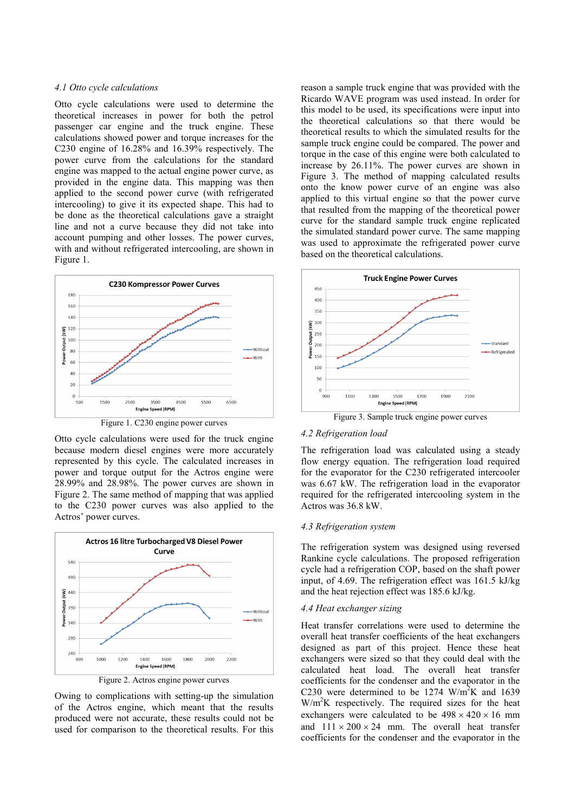#### *4.1 Otto cycle calculations*

Otto cycle calculations were used to determine the theoretical increases in power for both the petrol passenger car engine and the truck engine. These calculations showed power and torque increases for the C230 engine of 16.28% and 16.39% respectively. The power curve from the calculations for the standard engine was mapped to the actual engine power curve, as provided in the engine data. This mapping was then applied to the second power curve (with refrigerated intercooling) to give it its expected shape. This had to be done as the theoretical calculations gave a straight line and not a curve because they did not take into account pumping and other losses. The power curves, with and without refrigerated intercooling, are shown in Figure 1.



Figure 1. C230 engine power curves

Otto cycle calculations were used for the truck engine because modern diesel engines were more accurately represented by this cycle. The calculated increases in power and torque output for the Actros engine were 28.99% and 28.98%. The power curves are shown in Figure 2. The same method of mapping that was applied to the C230 power curves was also applied to the Actros' power curves.



Owing to complications with setting-up the simulation of the Actros engine, which meant that the results produced were not accurate, these results could not be used for comparison to the theoretical results. For this

reason a sample truck engine that was provided with the Ricardo WAVE program was used instead. In order for this model to be used, its specifications were input into the theoretical calculations so that there would be theoretical results to which the simulated results for the sample truck engine could be compared. The power and torque in the case of this engine were both calculated to increase by 26.11%. The power curves are shown in Figure 3. The method of mapping calculated results onto the know power curve of an engine was also applied to this virtual engine so that the power curve that resulted from the mapping of the theoretical power curve for the standard sample truck engine replicated the simulated standard power curve. The same mapping was used to approximate the refrigerated power curve based on the theoretical calculations.



#### *4.2 Refrigeration load*

The refrigeration load was calculated using a steady flow energy equation. The refrigeration load required for the evaporator for the C230 refrigerated intercooler was 6.67 kW. The refrigeration load in the evaporator required for the refrigerated intercooling system in the Actros was 36.8 kW.

#### *4.3 Refrigeration system*

The refrigeration system was designed using reversed Rankine cycle calculations. The proposed refrigeration cycle had a refrigeration COP, based on the shaft power input, of 4.69. The refrigeration effect was 161.5 kJ/kg and the heat rejection effect was 185.6 kJ/kg.

#### *4.4 Heat exchanger sizing*

Heat transfer correlations were used to determine the overall heat transfer coefficients of the heat exchangers designed as part of this project. Hence these heat exchangers were sized so that they could deal with the calculated heat load. The overall heat transfer coefficients for the condenser and the evaporator in the C230 were determined to be 1274  $W/m^2K$  and 1639 W/m2 K respectively. The required sizes for the heat exchangers were calculated to be  $498 \times 420 \times 16$  mm and  $111 \times 200 \times 24$  mm. The overall heat transfer coefficients for the condenser and the evaporator in the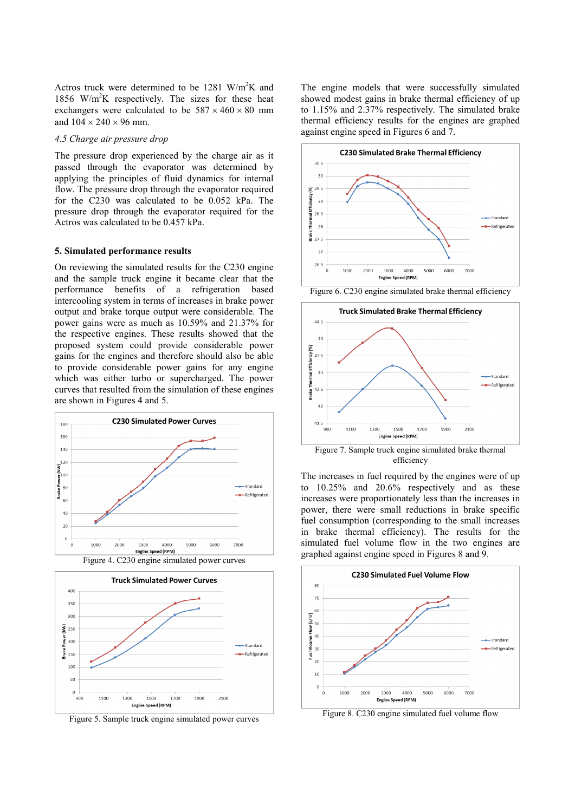Actros truck were determined to be 1281  $W/m^2K$  and 1856 W/m<sup>2</sup>K respectively. The sizes for these heat exchangers were calculated to be  $587 \times 460 \times 80$  mm and  $104 \times 240 \times 96$  mm.

#### *4.5 Charge air pressure drop*

The pressure drop experienced by the charge air as it passed through the evaporator was determined by applying the principles of fluid dynamics for internal flow. The pressure drop through the evaporator required for the C230 was calculated to be 0.052 kPa. The pressure drop through the evaporator required for the Actros was calculated to be 0.457 kPa.

#### **5. Simulated performance results**

On reviewing the simulated results for the C230 engine and the sample truck engine it became clear that the performance benefits of a refrigeration based intercooling system in terms of increases in brake power output and brake torque output were considerable. The power gains were as much as 10.59% and 21.37% for the respective engines. These results showed that the proposed system could provide considerable power gains for the engines and therefore should also be able to provide considerable power gains for any engine which was either turbo or supercharged. The power curves that resulted from the simulation of these engines are shown in Figures 4 and 5.





Figure 5. Sample truck engine simulated power curves

The engine models that were successfully simulated showed modest gains in brake thermal efficiency of up to 1.15% and 2.37% respectively. The simulated brake thermal efficiency results for the engines are graphed against engine speed in Figures 6 and 7.



Figure 6. C230 engine simulated brake thermal efficiency



efficiency

The increases in fuel required by the engines were of up to 10.25% and 20.6% respectively and as these increases were proportionately less than the increases in power, there were small reductions in brake specific fuel consumption (corresponding to the small increases in brake thermal efficiency). The results for the simulated fuel volume flow in the two engines are graphed against engine speed in Figures 8 and 9.



Figure 8. C230 engine simulated fuel volume flow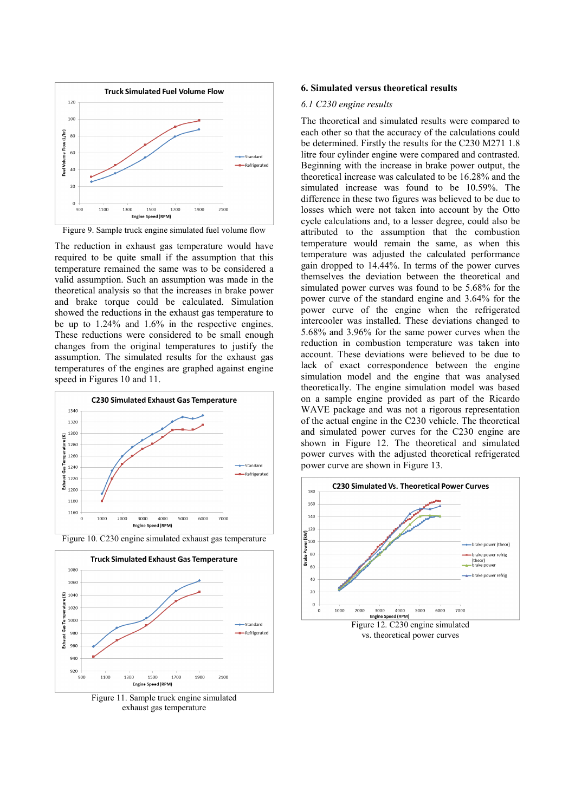

Figure 9. Sample truck engine simulated fuel volume flow

The reduction in exhaust gas temperature would have required to be quite small if the assumption that this temperature remained the same was to be considered a valid assumption. Such an assumption was made in the theoretical analysis so that the increases in brake power and brake torque could be calculated. Simulation showed the reductions in the exhaust gas temperature to be up to 1.24% and 1.6% in the respective engines. These reductions were considered to be small enough changes from the original temperatures to justify the assumption. The simulated results for the exhaust gas temperatures of the engines are graphed against engine speed in Figures 10 and 11.





Figure 11. Sample truck engine simulated exhaust gas temperature

#### **6. Simulated versus theoretical results**

#### *6.1 C230 engine results*

The theoretical and simulated results were compared to each other so that the accuracy of the calculations could be determined. Firstly the results for the C230 M271 1.8 litre four cylinder engine were compared and contrasted. Beginning with the increase in brake power output, the theoretical increase was calculated to be 16.28% and the simulated increase was found to be 10.59%. The difference in these two figures was believed to be due to losses which were not taken into account by the Otto cycle calculations and, to a lesser degree, could also be attributed to the assumption that the combustion temperature would remain the same, as when this temperature was adjusted the calculated performance gain dropped to 14.44%. In terms of the power curves themselves the deviation between the theoretical and simulated power curves was found to be 5.68% for the power curve of the standard engine and 3.64% for the power curve of the engine when the refrigerated intercooler was installed. These deviations changed to 5.68% and 3.96% for the same power curves when the reduction in combustion temperature was taken into account. These deviations were believed to be due to lack of exact correspondence between the engine simulation model and the engine that was analysed theoretically. The engine simulation model was based on a sample engine provided as part of the Ricardo WAVE package and was not a rigorous representation of the actual engine in the C230 vehicle. The theoretical and simulated power curves for the C230 engine are shown in Figure 12. The theoretical and simulated power curves with the adjusted theoretical refrigerated power curve are shown in Figure 13.



vs. theoretical power curves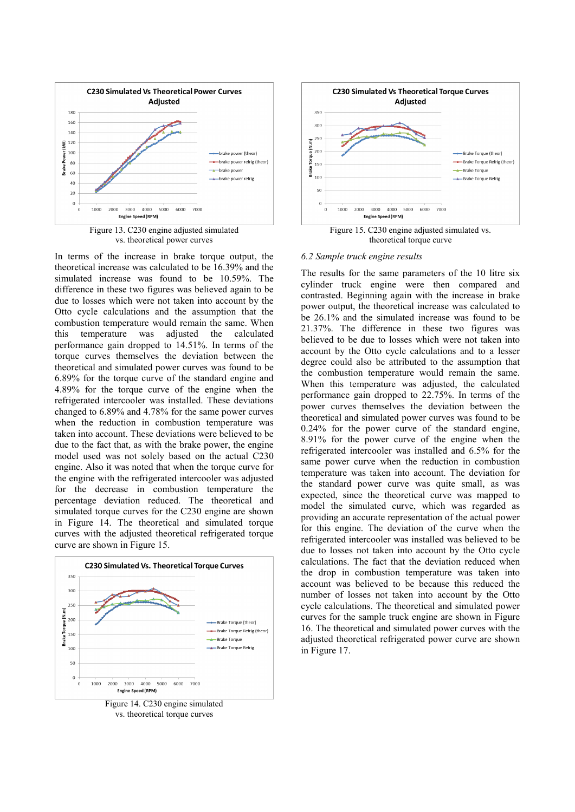

vs. theoretical power curves

In terms of the increase in brake torque output, the theoretical increase was calculated to be 16.39% and the simulated increase was found to be 10.59%. The difference in these two figures was believed again to be due to losses which were not taken into account by the Otto cycle calculations and the assumption that the combustion temperature would remain the same. When this temperature was adjusted the calculated performance gain dropped to 14.51%. In terms of the torque curves themselves the deviation between the theoretical and simulated power curves was found to be 6.89% for the torque curve of the standard engine and 4.89% for the torque curve of the engine when the refrigerated intercooler was installed. These deviations changed to 6.89% and 4.78% for the same power curves when the reduction in combustion temperature was taken into account. These deviations were believed to be due to the fact that, as with the brake power, the engine model used was not solely based on the actual C230 engine. Also it was noted that when the torque curve for the engine with the refrigerated intercooler was adjusted for the decrease in combustion temperature the percentage deviation reduced. The theoretical and simulated torque curves for the C230 engine are shown in Figure 14. The theoretical and simulated torque curves with the adjusted theoretical refrigerated torque curve are shown in Figure 15.



Figure 14. C230 engine simulated vs. theoretical torque curves



#### *6.2 Sample truck engine results*

The results for the same parameters of the 10 litre six cylinder truck engine were then compared and contrasted. Beginning again with the increase in brake power output, the theoretical increase was calculated to be 26.1% and the simulated increase was found to be 21.37%. The difference in these two figures was believed to be due to losses which were not taken into account by the Otto cycle calculations and to a lesser degree could also be attributed to the assumption that the combustion temperature would remain the same. When this temperature was adjusted, the calculated performance gain dropped to 22.75%. In terms of the power curves themselves the deviation between the theoretical and simulated power curves was found to be 0.24% for the power curve of the standard engine, 8.91% for the power curve of the engine when the refrigerated intercooler was installed and 6.5% for the same power curve when the reduction in combustion temperature was taken into account. The deviation for the standard power curve was quite small, as was expected, since the theoretical curve was mapped to model the simulated curve, which was regarded as providing an accurate representation of the actual power for this engine. The deviation of the curve when the refrigerated intercooler was installed was believed to be due to losses not taken into account by the Otto cycle calculations. The fact that the deviation reduced when the drop in combustion temperature was taken into account was believed to be because this reduced the number of losses not taken into account by the Otto cycle calculations. The theoretical and simulated power curves for the sample truck engine are shown in Figure 16. The theoretical and simulated power curves with the adjusted theoretical refrigerated power curve are shown in Figure 17.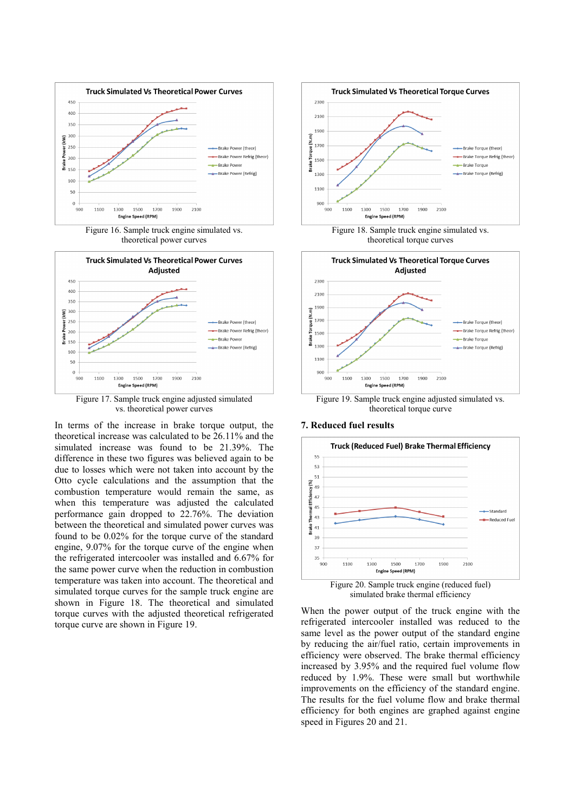

Figure 16. Sample truck engine simulated vs. theoretical power curves



Figure 17. Sample truck engine adjusted simulated vs. theoretical power curves

In terms of the increase in brake torque output, the theoretical increase was calculated to be 26.11% and the simulated increase was found to be 21.39%. The difference in these two figures was believed again to be due to losses which were not taken into account by the Otto cycle calculations and the assumption that the combustion temperature would remain the same, as when this temperature was adjusted the calculated performance gain dropped to 22.76%. The deviation between the theoretical and simulated power curves was found to be 0.02% for the torque curve of the standard engine, 9.07% for the torque curve of the engine when the refrigerated intercooler was installed and 6.67% for the same power curve when the reduction in combustion temperature was taken into account. The theoretical and simulated torque curves for the sample truck engine are shown in Figure 18. The theoretical and simulated torque curves with the adjusted theoretical refrigerated torque curve are shown in Figure 19.







Figure 19. Sample truck engine adjusted simulated vs. theoretical torque curve

#### **7. Reduced fuel results**



simulated brake thermal efficiency

When the power output of the truck engine with the refrigerated intercooler installed was reduced to the same level as the power output of the standard engine by reducing the air/fuel ratio, certain improvements in efficiency were observed. The brake thermal efficiency increased by 3.95% and the required fuel volume flow reduced by 1.9%. These were small but worthwhile improvements on the efficiency of the standard engine. The results for the fuel volume flow and brake thermal efficiency for both engines are graphed against engine speed in Figures 20 and 21.